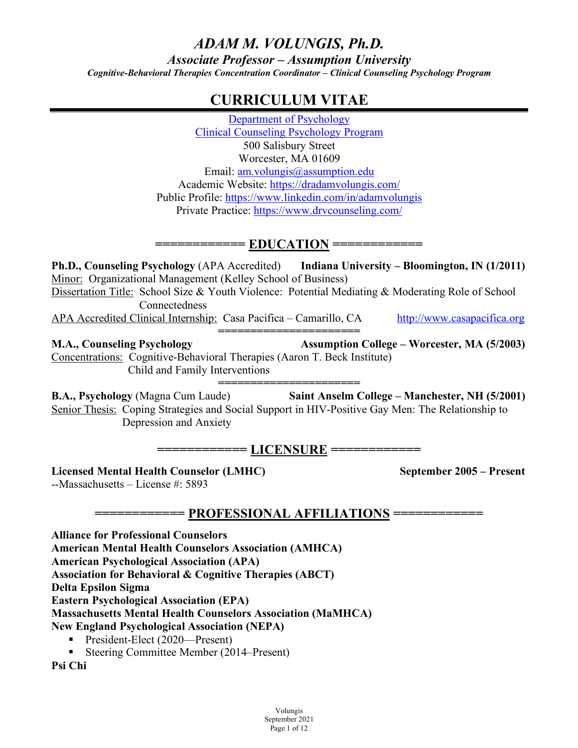## *ADAM M. VOLUNGIS, Ph.D. Associate Professor – Assumption University Cognitive-Behavioral Therapies Concentration Coordinator – Clinical Counseling Psychology Program*

## **CURRICULUM VITAE**

Department of Psychology Clinical Counseling Psychology Program 500 Salisbury Street Worcester, MA 01609 Email: am.volungis@assumption.edu Academic Website: https://dradamvolungis.com/ Public Profile: https://www.linkedin.com/in/adamvolungis Private Practice: https://www.drvcounseling.com/

## **============ EDUCATION ============**

**Ph.D., Counseling Psychology** (APA Accredited) **Indiana University – Bloomington, IN (1/2011)** Minor: Organizational Management (Kelley School of Business) Dissertation Title: School Size & Youth Violence: Potential Mediating & Moderating Role of School **Connectedness** APA Accredited Clinical Internship: Casa Pacifica – Camarillo, CA http://www.casapacifica.org

**====================== M.A., Counseling Psychology Assumption College – Worcester, MA (5/2003)** Concentrations: Cognitive-Behavioral Therapies (Aaron T. Beck Institute) Child and Family Interventions

**====================== B.A., Psychology** (Magna Cum Laude) **Saint Anselm College – Manchester, NH (5/2001)** Senior Thesis: Coping Strategies and Social Support in HIV-Positive Gay Men: The Relationship to Depression and Anxiety

## **============ LICENSURE ============**

**Licensed Mental Health Counselor (LMHC) September 2005 – Present**

--Massachusetts – License #: 5893

**============ PROFESSIONAL AFFILIATIONS ============**

**Alliance for Professional Counselors**

**American Mental Health Counselors Association (AMHCA)**

**American Psychological Association (APA)**

**Association for Behavioral & Cognitive Therapies (ABCT)**

**Delta Epsilon Sigma**

**Eastern Psychological Association (EPA)**

**Massachusetts Mental Health Counselors Association (MaMHCA)**

**New England Psychological Association (NEPA)**

- President-Elect (2020—Present)
- Steering Committee Member (2014–Present)

**Psi Chi**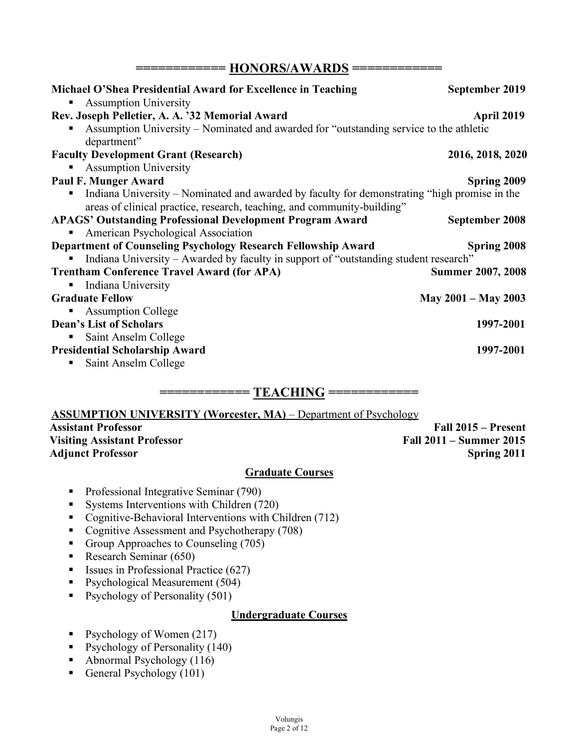**============ HONORS/AWARDS ============**

| Michael O'Shea Presidential Award for Excellence in Teaching                                          | September 2019           |
|-------------------------------------------------------------------------------------------------------|--------------------------|
| <b>Assumption University</b><br>ш<br>Rev. Joseph Pelletier, A. A. '32 Memorial Award                  | April 2019               |
| Assumption University – Nominated and awarded for "outstanding service to the athletic<br>department" |                          |
| <b>Faculty Development Grant (Research)</b>                                                           | 2016, 2018, 2020         |
| <b>Assumption University</b>                                                                          |                          |
| Paul F. Munger Award                                                                                  | <b>Spring 2009</b>       |
| Indiana University – Nominated and awarded by faculty for demonstrating "high promise in the          |                          |
| areas of clinical practice, research, teaching, and community-building"                               |                          |
| <b>APAGS' Outstanding Professional Development Program Award</b>                                      | September 2008           |
| American Psychological Association                                                                    |                          |
| Department of Counseling Psychology Research Fellowship Award                                         | Spring 2008              |
| Indiana University – Awarded by faculty in support of "outstanding student research"<br>п             |                          |
| <b>Trentham Conference Travel Award (for APA)</b>                                                     | <b>Summer 2007, 2008</b> |
| Indiana University<br>п,                                                                              |                          |
| <b>Graduate Fellow</b>                                                                                | May $2001 -$ May 2003    |
| <b>Assumption College</b>                                                                             |                          |
| <b>Dean's List of Scholars</b>                                                                        | 1997-2001                |
| Saint Anselm College<br>п,                                                                            |                          |
| <b>Presidential Scholarship Award</b>                                                                 | 1997-2001                |
| Saint Anselm College<br>٠                                                                             |                          |
|                                                                                                       |                          |

#### **ASSUMPTION UNIVERSITY (Worcester, MA)** – Department of Psychology

# **Visiting Assistant Professor Fall 2011 – Summer 2015**

**Assistant Professor Fall 2015 – Present** Adjunct Professor Spring 2011

#### **Graduate Courses**

- Professional Integrative Seminar (790)
- Systems Interventions with Children (720)
- Cognitive-Behavioral Interventions with Children (712)
- Cognitive Assessment and Psychotherapy (708)
- Group Approaches to Counseling (705)
- Research Seminar (650)
- Issues in Professional Practice (627)
- Psychological Measurement (504)
- Psychology of Personality (501)

#### **Undergraduate Courses**

- Psychology of Women (217)
- Psychology of Personality (140)
- Abnormal Psychology (116)
- General Psychology (101)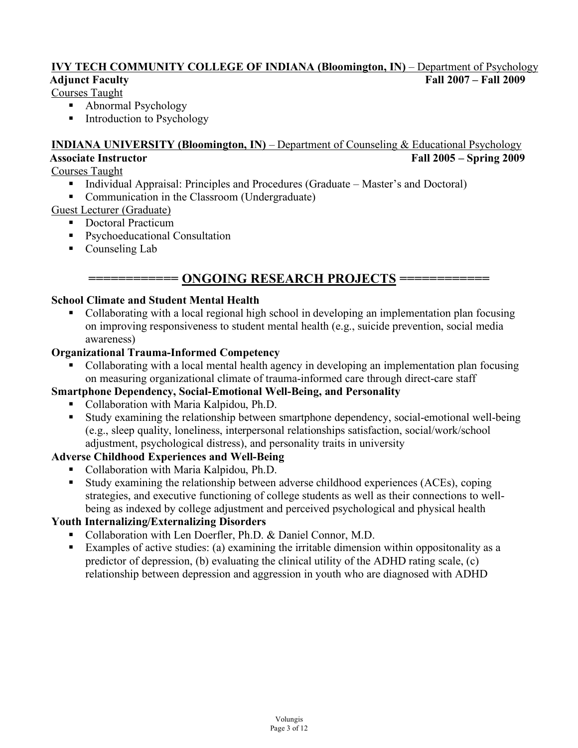## **IVY TECH COMMUNITY COLLEGE OF INDIANA (Bloomington, IN)** – Department of Psychology **Adjunct Faculty Fall 2007 – Fall 2009**

### Courses Taught

- Abnormal Psychology
- Introduction to Psychology

### **INDIANA UNIVERSITY (Bloomington, IN)** – Department of Counseling & Educational Psychology **Associate Instructor Fall 2005 – Spring 2009**

#### Courses Taught

- § Individual Appraisal: Principles and Procedures (Graduate Master's and Doctoral)
- Communication in the Classroom (Undergraduate)

Guest Lecturer (Graduate)

- Doctoral Practicum
- Psychoeducational Consultation
- Counseling Lab

## **============ ONGOING RESEARCH PROJECTS ============**

#### **School Climate and Student Mental Health**

■ Collaborating with a local regional high school in developing an implementation plan focusing on improving responsiveness to student mental health (e.g., suicide prevention, social media awareness)

## **Organizational Trauma-Informed Competency**

§ Collaborating with a local mental health agency in developing an implementation plan focusing on measuring organizational climate of trauma-informed care through direct-care staff

#### **Smartphone Dependency, Social-Emotional Well-Being, and Personality**

- Collaboration with Maria Kalpidou, Ph.D.
- Study examining the relationship between smartphone dependency, social-emotional well-being (e.g., sleep quality, loneliness, interpersonal relationships satisfaction, social/work/school adjustment, psychological distress), and personality traits in university

### **Adverse Childhood Experiences and Well-Being**

- Collaboration with Maria Kalpidou, Ph.D.
- Study examining the relationship between adverse childhood experiences (ACEs), coping strategies, and executive functioning of college students as well as their connections to wellbeing as indexed by college adjustment and perceived psychological and physical health

### **Youth Internalizing/Externalizing Disorders**

- Collaboration with Len Doerfler, Ph.D. & Daniel Connor, M.D.
- Examples of active studies: (a) examining the irritable dimension within oppositonality as a predictor of depression, (b) evaluating the clinical utility of the ADHD rating scale, (c) relationship between depression and aggression in youth who are diagnosed with ADHD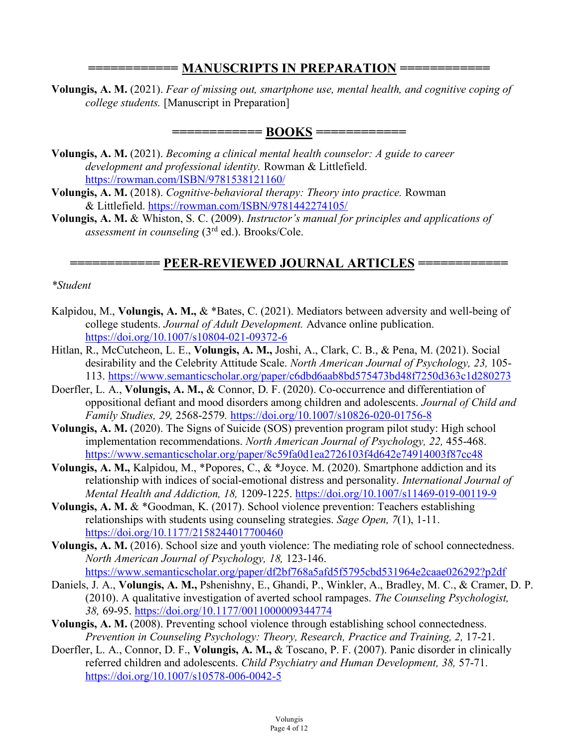## **============ MANUSCRIPTS IN PREPARATION ============**

**Volungis, A. M.** (2021). *Fear of missing out, smartphone use, mental health, and cognitive coping of college students.* [Manuscript in Preparation]

**============ BOOKS ============**

- **Volungis, A. M.** (2021). *Becoming a clinical mental health counselor: A guide to career development and professional identity.* Rowman & Littlefield. https://rowman.com/ISBN/9781538121160/
- **Volungis, A. M.** (2018). *Cognitive-behavioral therapy: Theory into practice.* Rowman & Littlefield. https://rowman.com/ISBN/9781442274105/
- **Volungis, A. M.** & Whiston, S. C. (2009). *Instructor's manual for principles and applications of assessment in counseling* (3rd ed.). Brooks/Cole.

## **============ PEER-REVIEWED JOURNAL ARTICLES ============**

#### *\*Student*

- Kalpidou, M., **Volungis, A. M.,** & \*Bates, C. (2021). Mediators between adversity and well-being of college students. *Journal of Adult Development.* Advance online publication. https://doi.org/10.1007/s10804-021-09372-6
- Hitlan, R., McCutcheon, L. E., **Volungis, A. M.,** Joshi, A., Clark, C. B., & Pena, M. (2021). Social desirability and the Celebrity Attitude Scale. *North American Journal of Psychology, 23,* 105- 113. https://www.semanticscholar.org/paper/c6dbd6aab8bd575473bd48f7250d363c1d280273
- Doerfler, L. A., **Volungis, A. M.,** & Connor, D. F. (2020). Co-occurrence and differentiation of oppositional defiant and mood disorders among children and adolescents. *Journal of Child and Family Studies, 29,* 2568-2579*.* https://doi.org/10.1007/s10826-020-01756-8
- **Volungis, A. M.** (2020). The Signs of Suicide (SOS) prevention program pilot study: High school implementation recommendations. *North American Journal of Psychology, 22,* 455-468. https://www.semanticscholar.org/paper/8c59fa0d1ea2726103f4d642e74914003f87cc48
- **Volungis, A. M.,** Kalpidou, M., \*Popores, C., & \*Joyce. M. (2020). Smartphone addiction and its relationship with indices of social-emotional distress and personality. *International Journal of Mental Health and Addiction, 18,* 1209-1225. https://doi.org/10.1007/s11469-019-00119-9
- Volungis, A. M. & \*Goodman, K. (2017). School violence prevention: Teachers establishing relationships with students using counseling strategies. *Sage Open, 7*(1), 1-11. https://doi.org/10.1177/2158244017700460
- **Volungis, A. M.** (2016). School size and youth violence: The mediating role of school connectedness. *North American Journal of Psychology, 18,* 123-146. https://www.semanticscholar.org/paper/df2bf768a5afd5f5795cbd531964e2caae026292?p2df
- Daniels, J. A., **Volungis, A. M.,** Pshenishny, E., Ghandi, P., Winkler, A., Bradley, M. C., & Cramer, D. P. (2010). A qualitative investigation of averted school rampages. *The Counseling Psychologist, 38,* 69-95. https://doi.org/10.1177/0011000009344774
- **Volungis, A. M.** (2008). Preventing school violence through establishing school connectedness. *Prevention in Counseling Psychology: Theory, Research, Practice and Training, 2,* 17-21.
- Doerfler, L. A., Connor, D. F., **Volungis, A. M.,** & Toscano, P. F. (2007). Panic disorder in clinically referred children and adolescents. *Child Psychiatry and Human Development, 38,* 57-71. https://doi.org/10.1007/s10578-006-0042-5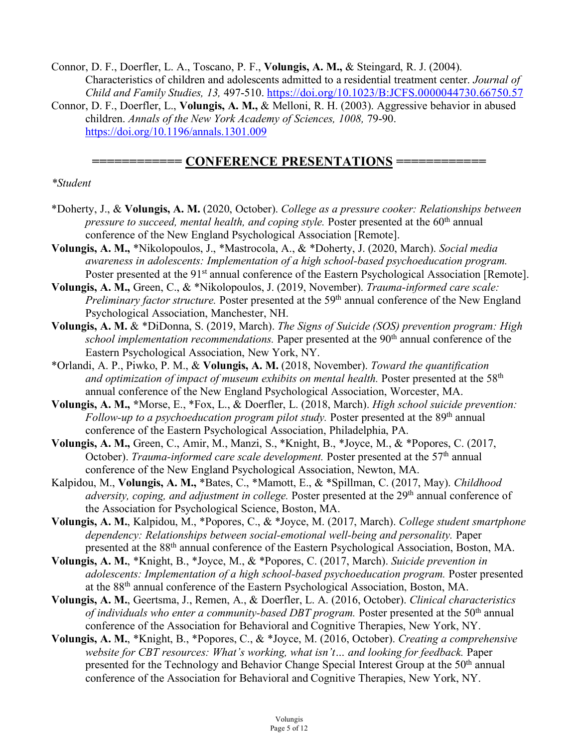Connor, D. F., Doerfler, L. A., Toscano, P. F., **Volungis, A. M.,** & Steingard, R. J. (2004). Characteristics of children and adolescents admitted to a residential treatment center. *Journal of Child and Family Studies, 13,* 497-510. https://doi.org/10.1023/B:JCFS.0000044730.66750.57

Connor, D. F., Doerfler, L., **Volungis, A. M.,** & Melloni, R. H. (2003). Aggressive behavior in abused children. *Annals of the New York Academy of Sciences, 1008,* 79-90. https://doi.org/10.1196/annals.1301.009

### $=$  CONFERENCE PRESENTATIONS =

#### *\*Student*

- \*Doherty, J., & **Volungis, A. M.** (2020, October). *College as a pressure cooker: Relationships between pressure to succeed, mental health, and coping style.* Poster presented at the 60<sup>th</sup> annual conference of the New England Psychological Association [Remote].
- **Volungis, A. M.,** \*Nikolopoulos, J., \*Mastrocola, A., & \*Doherty, J. (2020, March). *Social media awareness in adolescents: Implementation of a high school-based psychoeducation program.* Poster presented at the 91<sup>st</sup> annual conference of the Eastern Psychological Association [Remote].
- **Volungis, A. M.,** Green, C., & \*Nikolopoulos, J. (2019, November). *Trauma-informed care scale: Preliminary factor structure.* Poster presented at the 59<sup>th</sup> annual conference of the New England Psychological Association, Manchester, NH.
- **Volungis, A. M.** & \*DiDonna, S. (2019, March). *The Signs of Suicide (SOS) prevention program: High school implementation recommendations*. Paper presented at the 90<sup>th</sup> annual conference of the Eastern Psychological Association, New York, NY.
- \*Orlandi, A. P., Piwko, P. M., & **Volungis, A. M.** (2018, November). *Toward the quantification*  and optimization of impact of museum exhibits on mental health. Poster presented at the 58<sup>th</sup> annual conference of the New England Psychological Association, Worcester, MA.
- **Volungis, A. M., \***Morse, E., \*Fox, L., & Doerfler, L. (2018, March). *High school suicide prevention: Follow-up to a psychoeducation program pilot study.* Poster presented at the 89<sup>th</sup> annual conference of the Eastern Psychological Association, Philadelphia, PA.
- **Volungis, A. M.,** Green, C., Amir, M., Manzi, S., \*Knight, B., \*Joyce, M., & \*Popores, C. (2017, October). *Trauma-informed care scale development*. Poster presented at the 57<sup>th</sup> annual conference of the New England Psychological Association, Newton, MA.
- Kalpidou, M., **Volungis, A. M.,** \*Bates, C., \*Mamott, E., & \*Spillman, C. (2017, May). *Childhood adversity, coping, and adjustment in college.* Poster presented at the 29<sup>th</sup> annual conference of the Association for Psychological Science, Boston, MA.
- **Volungis, A. M.**, Kalpidou, M., \*Popores, C., & \*Joyce, M. (2017, March). *College student smartphone dependency: Relationships between social-emotional well-being and personality.* Paper presented at the 88th annual conference of the Eastern Psychological Association, Boston, MA.
- **Volungis, A. M.**, \*Knight, B., \*Joyce, M., & \*Popores, C. (2017, March). *Suicide prevention in adolescents: Implementation of a high school-based psychoeducation program.* Poster presented at the 88th annual conference of the Eastern Psychological Association, Boston, MA.
- **Volungis, A. M.**, Geertsma, J., Remen, A., & Doerfler, L. A. (2016, October). *Clinical characteristics of individuals who enter a community-based DBT program.* Poster presented at the 50<sup>th</sup> annual conference of the Association for Behavioral and Cognitive Therapies, New York, NY.
- **Volungis, A. M.**, \*Knight, B., \*Popores, C., & \*Joyce, M. (2016, October). *Creating a comprehensive website for CBT resources: What's working, what isn't… and looking for feedback.* Paper presented for the Technology and Behavior Change Special Interest Group at the 50<sup>th</sup> annual conference of the Association for Behavioral and Cognitive Therapies, New York, NY.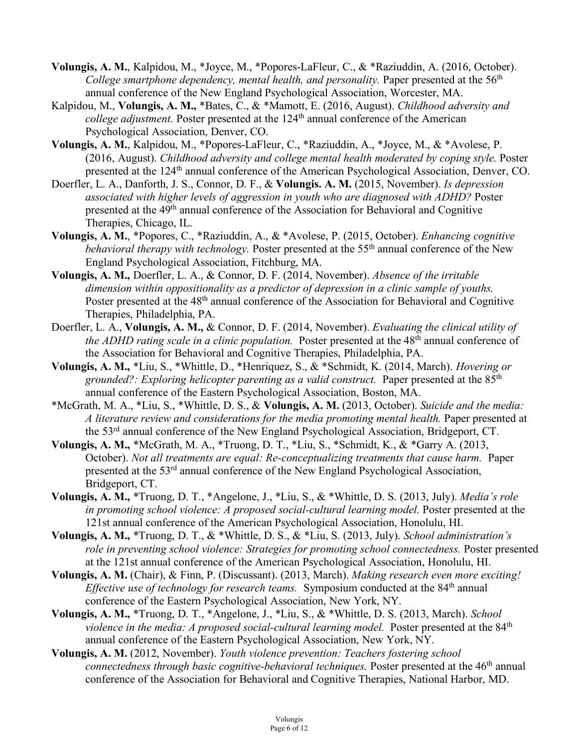- **Volungis, A. M.**, Kalpidou, M., \*Joyce, M., \*Popores-LaFleur, C., & \*Raziuddin, A. (2016, October). *College smartphone dependency, mental health, and personality.* Paper presented at the 56<sup>th</sup> annual conference of the New England Psychological Association, Worcester, MA.
- Kalpidou, M., **Volungis, A. M.,** \*Bates, C., & \*Mamott, E. (2016, August). *Childhood adversity and college adjustment.* Poster presented at the 124<sup>th</sup> annual conference of the American Psychological Association, Denver, CO.
- **Volungis, A. M.**, Kalpidou, M., \*Popores-LaFleur, C., \*Raziuddin, A., \*Joyce, M., & \*Avolese, P. (2016, August). *Childhood adversity and college mental health moderated by coping style.* Poster presented at the 124th annual conference of the American Psychological Association, Denver, CO.
- Doerfler, L. A., Danforth, J. S., Connor, D. F., & **Volungis. A. M.** (2015, November). *Is depression associated with higher levels of aggression in youth who are diagnosed with ADHD?* Poster presented at the 49th annual conference of the Association for Behavioral and Cognitive Therapies, Chicago, IL.
- **Volungis, A. M.**, \*Popores, C., \*Raziuddin, A., & \*Avolese, P. (2015, October). *Enhancing cognitive behavioral therapy with technology.* Poster presented at the 55<sup>th</sup> annual conference of the New England Psychological Association, Fitchburg, MA.
- **Volungis, A. M.,** Doerfler, L. A., & Connor, D. F. (2014, November). *Absence of the irritable dimension within oppositionality as a predictor of depression in a clinic sample of youths.* Poster presented at the 48<sup>th</sup> annual conference of the Association for Behavioral and Cognitive Therapies, Philadelphia, PA.
- Doerfler, L. A., **Volungis, A. M.,** & Connor, D. F. (2014, November). *Evaluating the clinical utility of the ADHD rating scale in a clinic population.* Poster presented at the 48<sup>th</sup> annual conference of the Association for Behavioral and Cognitive Therapies, Philadelphia, PA.
- **Volungis, A. M.,** \*Liu, S., \*Whittle, D., \*Henriquez, S., & \*Schmidt, K. (2014, March). *Hovering or grounded?: Exploring helicopter parenting as a valid construct.* Paper presented at the 85th annual conference of the Eastern Psychological Association, Boston, MA.
- \*McGrath, M. A., \*Liu, S., \*Whittle, D. S., & **Volungis, A. M.** (2013, October). *Suicide and the media: A literature review and considerations for the media promoting mental health.* Paper presented at the 53rd annual conference of the New England Psychological Association, Bridgeport, CT.
- **Volungis, A. M.,** \*McGrath, M. A., \*Truong, D. T., \*Liu, S., \*Schmidt, K., & \*Garry A. (2013, October). *Not all treatments are equal: Re-conceptualizing treatments that cause harm.* Paper presented at the 53rd annual conference of the New England Psychological Association, Bridgeport, CT.
- **Volungis, A. M.,** \*Truong, D. T., \*Angelone, J., \*Liu, S., & \*Whittle, D. S. (2013, July). *Media's role in promoting school violence: A proposed social-cultural learning model.* Poster presented at the 121st annual conference of the American Psychological Association, Honolulu, HI.
- **Volungis, A. M.,** \*Truong, D. T., & \*Whittle, D. S., & \*Liu, S. (2013, July). *School administration's role in preventing school violence: Strategies for promoting school connectedness.* Poster presented at the 121st annual conference of the American Psychological Association, Honolulu, HI.
- **Volungis, A. M.** (Chair), & Finn, P. (Discussant). (2013, March). *Making research even more exciting! Effective use of technology for research teams.* Symposium conducted at the 84<sup>th</sup> annual conference of the Eastern Psychological Association, New York, NY.
- **Volungis, A. M.,** \*Truong, D. T., \*Angelone, J., \*Liu, S., & \*Whittle, D. S. (2013, March). *School violence in the media: A proposed social-cultural learning model.* Poster presented at the 84<sup>th</sup> annual conference of the Eastern Psychological Association, New York, NY.
- **Volungis, A. M.** (2012, November). *Youth violence prevention: Teachers fostering school connectedness through basic cognitive-behavioral techniques.* Poster presented at the 46<sup>th</sup> annual conference of the Association for Behavioral and Cognitive Therapies, National Harbor, MD.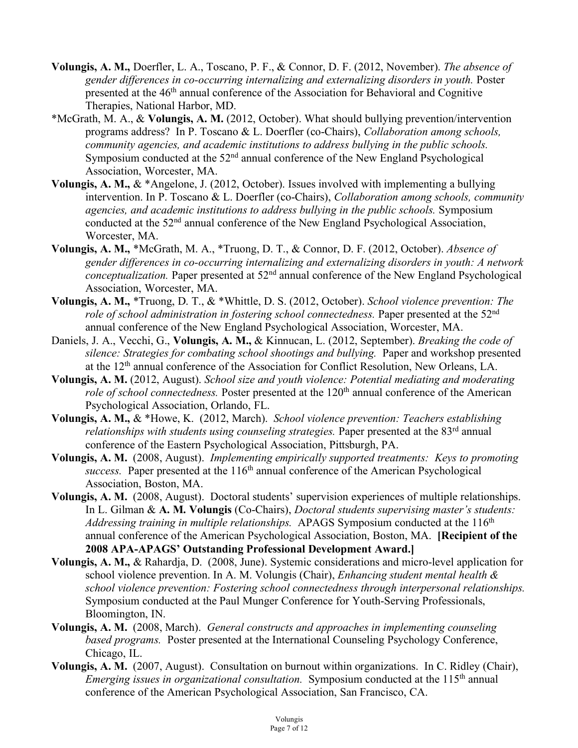- **Volungis, A. M.,** Doerfler, L. A., Toscano, P. F., & Connor, D. F. (2012, November). *The absence of gender differences in co-occurring internalizing and externalizing disorders in youth.* Poster presented at the 46<sup>th</sup> annual conference of the Association for Behavioral and Cognitive Therapies, National Harbor, MD.
- \*McGrath, M. A., & **Volungis, A. M.** (2012, October). What should bullying prevention/intervention programs address? In P. Toscano & L. Doerfler (co-Chairs), *Collaboration among schools, community agencies, and academic institutions to address bullying in the public schools.* Symposium conducted at the 52<sup>nd</sup> annual conference of the New England Psychological Association, Worcester, MA.
- **Volungis, A. M.,** & \*Angelone, J. (2012, October). Issues involved with implementing a bullying intervention. In P. Toscano & L. Doerfler (co-Chairs), *Collaboration among schools, community agencies, and academic institutions to address bullying in the public schools.* Symposium conducted at the 52nd annual conference of the New England Psychological Association, Worcester, MA.
- **Volungis, A. M.,** \*McGrath, M. A., \*Truong, D. T., & Connor, D. F. (2012, October). *Absence of gender differences in co-occurring internalizing and externalizing disorders in youth: A network conceptualization*. Paper presented at 52<sup>nd</sup> annual conference of the New England Psychological Association, Worcester, MA.
- **Volungis, A. M.,** \*Truong, D. T., & \*Whittle, D. S. (2012, October). *School violence prevention: The role of school administration in fostering school connectedness.* Paper presented at the 52<sup>nd</sup> annual conference of the New England Psychological Association, Worcester, MA.
- Daniels, J. A., Vecchi, G., **Volungis, A. M.,** & Kinnucan, L. (2012, September). *Breaking the code of silence: Strategies for combating school shootings and bullying.* Paper and workshop presented at the 12th annual conference of the Association for Conflict Resolution, New Orleans, LA.
- **Volungis, A. M.** (2012, August). *School size and youth violence: Potential mediating and moderating role of school connectedness.* Poster presented at the 120<sup>th</sup> annual conference of the American Psychological Association, Orlando, FL.
- **Volungis, A. M.,** & \*Howe, K. (2012, March). *School violence prevention: Teachers establishing relationships with students using counseling strategies.* Paper presented at the 83<sup>rd</sup> annual conference of the Eastern Psychological Association, Pittsburgh, PA.
- **Volungis, A. M.** (2008, August). *Implementing empirically supported treatments: Keys to promoting*   $success.$  Paper presented at the  $116<sup>th</sup>$  annual conference of the American Psychological Association, Boston, MA.
- **Volungis, A. M.** (2008, August). Doctoral students' supervision experiences of multiple relationships. In L. Gilman & **A. M. Volungis** (Co-Chairs), *Doctoral students supervising master's students:*  Addressing training in multiple relationships. APAGS Symposium conducted at the 116<sup>th</sup> annual conference of the American Psychological Association, Boston, MA. **[Recipient of the 2008 APA-APAGS' Outstanding Professional Development Award.]**
- **Volungis, A. M.,** & Rahardja, D. (2008, June). Systemic considerations and micro-level application for school violence prevention. In A. M. Volungis (Chair), *Enhancing student mental health & school violence prevention: Fostering school connectedness through interpersonal relationships.* Symposium conducted at the Paul Munger Conference for Youth-Serving Professionals, Bloomington, IN.
- **Volungis, A. M.** (2008, March). *General constructs and approaches in implementing counseling based programs.* Poster presented at the International Counseling Psychology Conference, Chicago, IL.
- **Volungis, A. M.** (2007, August). Consultation on burnout within organizations. In C. Ridley (Chair), *Emerging issues in organizational consultation.* Symposium conducted at the 115<sup>th</sup> annual conference of the American Psychological Association, San Francisco, CA.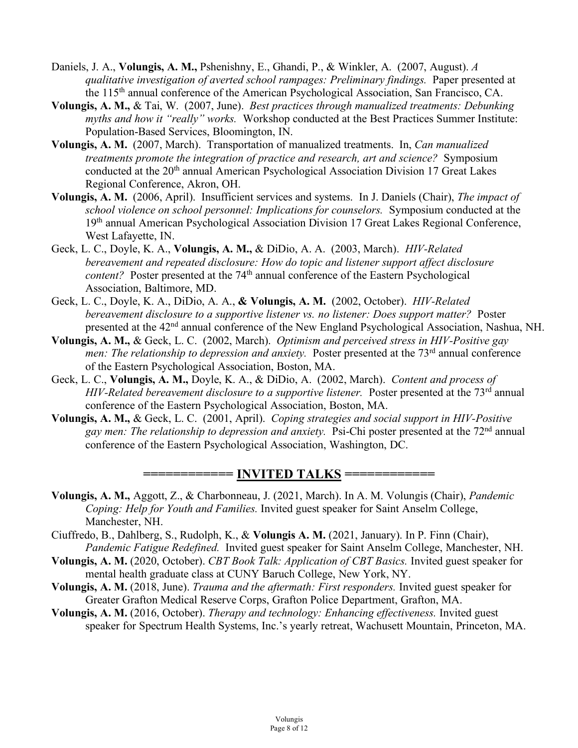- Daniels, J. A., **Volungis, A. M.,** Pshenishny, E., Ghandi, P., & Winkler, A. (2007, August). *A qualitative investigation of averted school rampages: Preliminary findings.* Paper presented at the 115th annual conference of the American Psychological Association, San Francisco, CA.
- **Volungis, A. M.,** & Tai, W.(2007, June). *Best practices through manualized treatments: Debunking myths and how it "really" works.* Workshop conducted at the Best Practices Summer Institute: Population-Based Services, Bloomington, IN.
- **Volungis, A. M.** (2007, March). Transportation of manualized treatments. In, *Can manualized treatments promote the integration of practice and research, art and science?* Symposium conducted at the 20<sup>th</sup> annual American Psychological Association Division 17 Great Lakes Regional Conference, Akron, OH.
- **Volungis, A. M.** (2006, April). Insufficient services and systems. In J. Daniels (Chair), *The impact of school violence on school personnel: Implications for counselors.* Symposium conducted at the 19th annual American Psychological Association Division 17 Great Lakes Regional Conference, West Lafayette, IN.
- Geck, L. C., Doyle, K. A., **Volungis, A. M.,** & DiDio, A. A.(2003, March). *HIV-Related bereavement and repeated disclosure: How do topic and listener support affect disclosure content?* Poster presented at the 74<sup>th</sup> annual conference of the Eastern Psychological Association, Baltimore, MD.
- Geck, L. C., Doyle, K. A., DiDio, A. A., **& Volungis, A. M.** (2002, October). *HIV-Related bereavement disclosure to a supportive listener vs. no listener: Does support matter?* Poster presented at the 42nd annual conference of the New England Psychological Association, Nashua, NH.
- **Volungis, A. M.,** & Geck, L. C. (2002, March). *Optimism and perceived stress in HIV-Positive gay men: The relationship to depression and anxiety.* Poster presented at the 73<sup>rd</sup> annual conference of the Eastern Psychological Association, Boston, MA.
- Geck, L. C., **Volungis, A. M.,** Doyle, K. A., & DiDio, A. (2002, March). *Content and process of HIV-Related bereavement disclosure to a supportive listener.* Poster presented at the 73<sup>rd</sup> annual conference of the Eastern Psychological Association, Boston, MA.
- **Volungis, A. M.,** & Geck, L. C.(2001, April). *Coping strategies and social support in HIV-Positive gay men: The relationship to depression and anxiety.* Psi-Chi poster presented at the 72nd annual conference of the Eastern Psychological Association, Washington, DC.

**============ INVITED TALKS ============**

- **Volungis, A. M.,** Aggott, Z., & Charbonneau, J. (2021, March). In A. M. Volungis (Chair), *Pandemic Coping: Help for Youth and Families.* Invited guest speaker for Saint Anselm College, Manchester, NH.
- Ciuffredo, B., Dahlberg, S., Rudolph, K., & **Volungis A. M.** (2021, January). In P. Finn (Chair), *Pandemic Fatigue Redefined.* Invited guest speaker for Saint Anselm College, Manchester, NH.
- **Volungis, A. M.** (2020, October). *CBT Book Talk: Application of CBT Basics.* Invited guest speaker for mental health graduate class at CUNY Baruch College, New York, NY.
- **Volungis, A. M.** (2018, June). *Trauma and the aftermath: First responders.* Invited guest speaker for Greater Grafton Medical Reserve Corps, Grafton Police Department, Grafton, MA.
- **Volungis, A. M.** (2016, October). *Therapy and technology: Enhancing effectiveness.* Invited guest speaker for Spectrum Health Systems, Inc.'s yearly retreat, Wachusett Mountain, Princeton, MA.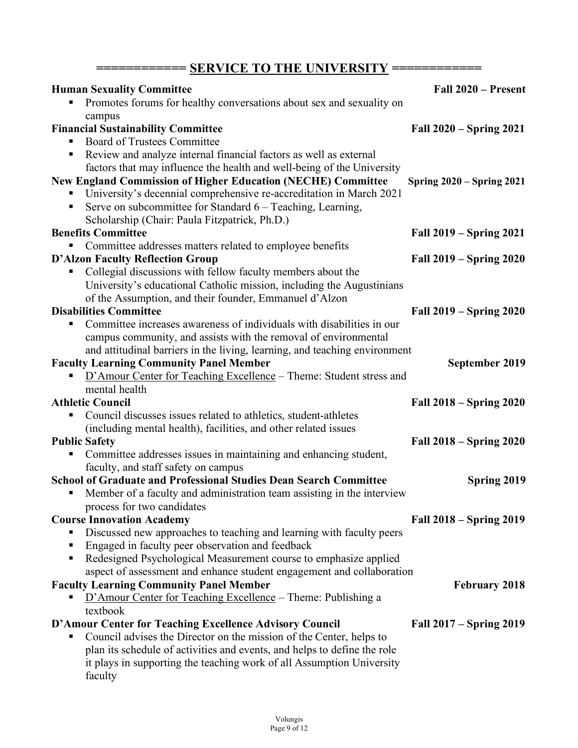| ===== SERVICE TO THE UNIVERSITY ===                                                                             |                                |  |
|-----------------------------------------------------------------------------------------------------------------|--------------------------------|--|
| <b>Human Sexuality Committee</b>                                                                                | Fall 2020 – Present            |  |
| Promotes forums for healthy conversations about sex and sexuality on                                            |                                |  |
| campus                                                                                                          |                                |  |
| <b>Financial Sustainability Committee</b>                                                                       | Fall 2020 – Spring 2021        |  |
| <b>Board of Trustees Committee</b>                                                                              |                                |  |
| Review and analyze internal financial factors as well as external<br>п                                          |                                |  |
| factors that may influence the health and well-being of the University                                          |                                |  |
| <b>New England Commission of Higher Education (NECHE) Committee</b>                                             | Spring $2020 -$ Spring $2021$  |  |
| University's decennial comprehensive re-accreditation in March 2021                                             |                                |  |
| Serve on subcommittee for Standard $6$ – Teaching, Learning,<br>п                                               |                                |  |
| Scholarship (Chair: Paula Fitzpatrick, Ph.D.)                                                                   |                                |  |
| <b>Benefits Committee</b>                                                                                       | Fall 2019 – Spring 2021        |  |
| Committee addresses matters related to employee benefits                                                        |                                |  |
| <b>D'Alzon Faculty Reflection Group</b><br>Collegial discussions with fellow faculty members about the          | Fall 2019 – Spring 2020        |  |
| University's educational Catholic mission, including the Augustinians                                           |                                |  |
| of the Assumption, and their founder, Emmanuel d'Alzon                                                          |                                |  |
| <b>Disabilities Committee</b>                                                                                   | <b>Fall 2019 – Spring 2020</b> |  |
| Committee increases awareness of individuals with disabilities in our<br>п                                      |                                |  |
| campus community, and assists with the removal of environmental                                                 |                                |  |
| and attitudinal barriers in the living, learning, and teaching environment                                      |                                |  |
| <b>Faculty Learning Community Panel Member</b>                                                                  | September 2019                 |  |
| D'Amour Center for Teaching Excellence – Theme: Student stress and                                              |                                |  |
| mental health                                                                                                   |                                |  |
| <b>Athletic Council</b>                                                                                         | <b>Fall 2018 – Spring 2020</b> |  |
| Council discusses issues related to athletics, student-athletes<br>п                                            |                                |  |
| (including mental health), facilities, and other related issues                                                 |                                |  |
| <b>Public Safety</b>                                                                                            | Fall 2018 – Spring 2020        |  |
| Committee addresses issues in maintaining and enhancing student,                                                |                                |  |
| faculty, and staff safety on campus<br><b>School of Graduate and Professional Studies Dean Search Committee</b> |                                |  |
| Member of a faculty and administration team assisting in the interview<br>п                                     | Spring 2019                    |  |
| process for two candidates                                                                                      |                                |  |
| <b>Course Innovation Academy</b>                                                                                | Fall 2018 – Spring 2019        |  |
| Discussed new approaches to teaching and learning with faculty peers<br>ш                                       |                                |  |
| Engaged in faculty peer observation and feedback<br>п                                                           |                                |  |
| Redesigned Psychological Measurement course to emphasize applied<br>٠                                           |                                |  |
| aspect of assessment and enhance student engagement and collaboration                                           |                                |  |
| <b>Faculty Learning Community Panel Member</b>                                                                  | <b>February 2018</b>           |  |
| D'Amour Center for Teaching Excellence - Theme: Publishing a                                                    |                                |  |
| textbook                                                                                                        |                                |  |
| D'Amour Center for Teaching Excellence Advisory Council                                                         | Fall 2017 – Spring 2019        |  |
| Council advises the Director on the mission of the Center, helps to<br>٠                                        |                                |  |
| plan its schedule of activities and events, and helps to define the role                                        |                                |  |
| it plays in supporting the teaching work of all Assumption University                                           |                                |  |
| faculty                                                                                                         |                                |  |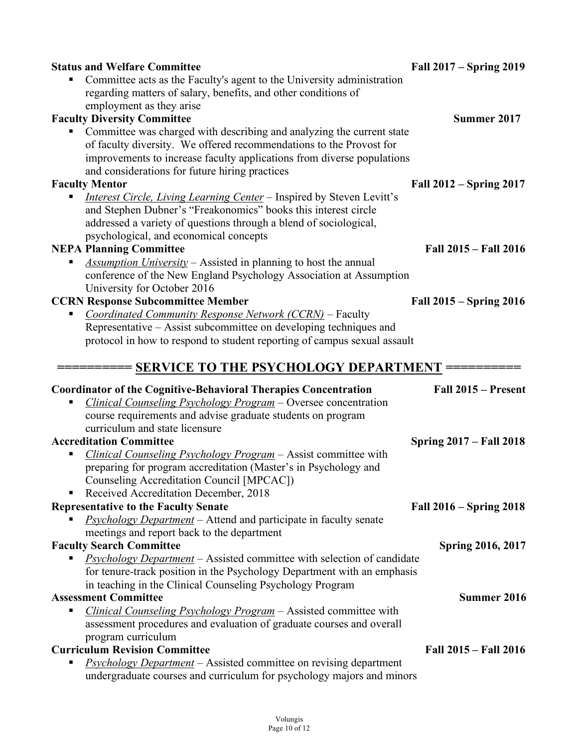| <b>Status and Welfare Committee</b>                                                                                                               | Fall 2017 – Spring 2019        |
|---------------------------------------------------------------------------------------------------------------------------------------------------|--------------------------------|
| Committee acts as the Faculty's agent to the University administration                                                                            |                                |
| regarding matters of salary, benefits, and other conditions of                                                                                    |                                |
| employment as they arise                                                                                                                          |                                |
| <b>Faculty Diversity Committee</b>                                                                                                                | <b>Summer 2017</b>             |
| Committee was charged with describing and analyzing the current state                                                                             |                                |
| of faculty diversity. We offered recommendations to the Provost for                                                                               |                                |
| improvements to increase faculty applications from diverse populations                                                                            |                                |
| and considerations for future hiring practices                                                                                                    |                                |
| <b>Faculty Mentor</b>                                                                                                                             | Fall 2012 – Spring 2017        |
| <i>Interest Circle, Living Learning Center</i> – Inspired by Steven Levitt's                                                                      |                                |
| and Stephen Dubner's "Freakonomics" books this interest circle                                                                                    |                                |
| addressed a variety of questions through a blend of sociological,                                                                                 |                                |
| psychological, and economical concepts                                                                                                            |                                |
| <b>NEPA Planning Committee</b>                                                                                                                    | Fall 2015 - Fall 2016          |
| <i>Assumption University</i> – Assisted in planning to host the annual                                                                            |                                |
| conference of the New England Psychology Association at Assumption                                                                                |                                |
| University for October 2016                                                                                                                       |                                |
| <b>CCRN Response Subcommittee Member</b>                                                                                                          | Fall 2015 – Spring 2016        |
| Coordinated Community Response Network (CCRN) - Faculty                                                                                           |                                |
| Representative – Assist subcommittee on developing techniques and                                                                                 |                                |
| protocol in how to respond to student reporting of campus sexual assault                                                                          |                                |
|                                                                                                                                                   |                                |
| ====== SERVICE TO THE PSYCHOLOGY DEPARTMENT =====<br><b>Coordinator of the Cognitive-Behavioral Therapies Concentration</b>                       | Fall 2015 - Present            |
| Clinical Counseling Psychology Program - Oversee concentration                                                                                    |                                |
| course requirements and advise graduate students on program                                                                                       |                                |
| curriculum and state licensure                                                                                                                    |                                |
| <b>Accreditation Committee</b>                                                                                                                    | <b>Spring 2017 – Fall 2018</b> |
| Clinical Counseling Psychology Program - Assist committee with                                                                                    |                                |
| preparing for program accreditation (Master's in Psychology and                                                                                   |                                |
| Counseling Accreditation Council [MPCAC])                                                                                                         |                                |
| Received Accreditation December, 2018                                                                                                             |                                |
| <b>Representative to the Faculty Senate</b>                                                                                                       | Fall 2016 – Spring 2018        |
| <i>Psychology Department</i> – Attend and participate in faculty senate                                                                           |                                |
| meetings and report back to the department                                                                                                        |                                |
| <b>Faculty Search Committee</b>                                                                                                                   | <b>Spring 2016, 2017</b>       |
| <b>Psychology Department</b> – Assisted committee with selection of candidate                                                                     |                                |
| for tenure-track position in the Psychology Department with an emphasis                                                                           |                                |
| in teaching in the Clinical Counseling Psychology Program                                                                                         |                                |
| <b>Assessment Committee</b>                                                                                                                       | <b>Summer 2016</b>             |
| Clinical Counseling Psychology Program - Assisted committee with<br>п                                                                             |                                |
| assessment procedures and evaluation of graduate courses and overall                                                                              |                                |
| program curriculum                                                                                                                                |                                |
| <b>Curriculum Revision Committee</b><br>п                                                                                                         | Fall 2015 – Fall 2016          |
| <b>Psychology Department</b> – Assisted committee on revising department<br>undergraduate courses and curriculum for psychology majors and minors |                                |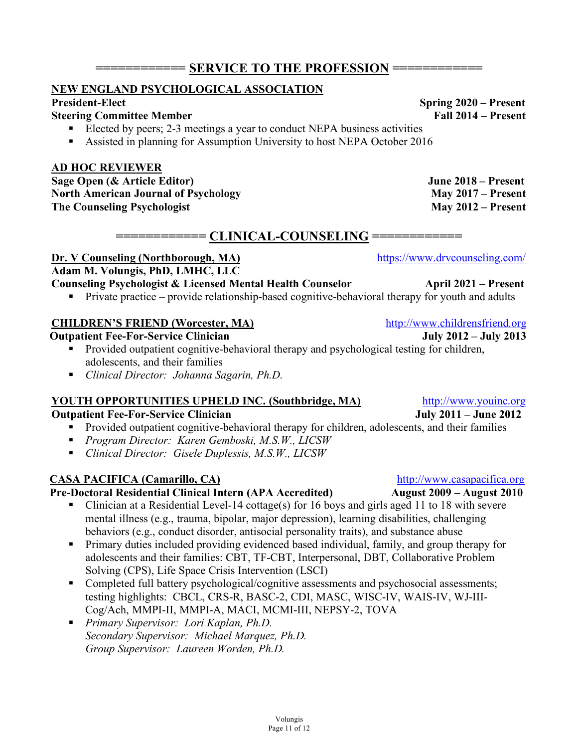## $=$  **SERVICE TO THE PROFESSION**  $=$

## **NEW ENGLAND PSYCHOLOGICAL ASSOCIATION**

#### **President-Elect** Spring 2020 – Present Steering Committee Member (Spring 2020 – Present Steering Committee Member (Spring 2020 – Present  $\blacksquare$ **Steering Committee Member**

Elected by peers; 2-3 meetings a year to conduct NEPA business activities ■ Assisted in planning for Assumption University to host NEPA October 2016

## **AD HOC REVIEWER**

**Sage Open (& Article Editor) June 2018 – Present** North American Journal of Psychology May 2017 – Present **The Counseling Psychologist May 2012 – Present**

## $=$  C<u>LINICAL-COUNSELING</u> =

**Dr. V Counseling (Northborough, MA)** https://www.drvcounseling.com/

## **Adam M. Volungis, PhD, LMHC, LLC**

## **Counseling Psychologist & Licensed Mental Health Counselor <b>April 2021** – Present

• Private practice – provide relationship-based cognitive-behavioral therapy for youth and adults

## **CHILDREN'S FRIEND (Worcester, MA)** http://www.childrensfriend.org

## **Outpatient Fee-For-Service Clinician July 2012 – July 2013**

- Provided outpatient cognitive-behavioral therapy and psychological testing for children, adolescents, and their families
- *Clinical Director: Johanna Sagarin, Ph.D.*

## **YOUTH OPPORTUNITIES UPHELD INC. (Southbridge, MA)** http://www.youinc.org

## **Outpatient Fee-For-Service Clinician July 2011 – June 2012**

- Provided outpatient cognitive-behavioral therapy for children, adolescents, and their families
- § *Program Director: Karen Gemboski, M.S.W., LICSW*
- § *Clinical Director: Gisele Duplessis, M.S.W., LICSW*

## **CASA PACIFICA (Camarillo, CA)** http://www.casapacifica.org

## **Pre-Doctoral Residential Clinical Intern (APA Accredited) August 2009 – August 2010**

- Clinician at a Residential Level-14 cottage(s) for 16 boys and girls aged 11 to 18 with severe mental illness (e.g., trauma, bipolar, major depression), learning disabilities, challenging behaviors (e.g., conduct disorder, antisocial personality traits), and substance abuse
- Primary duties included providing evidenced based individual, family, and group therapy for adolescents and their families: CBT, TF-CBT, Interpersonal, DBT, Collaborative Problem Solving (CPS), Life Space Crisis Intervention (LSCI)
- Completed full battery psychological/cognitive assessments and psychosocial assessments; testing highlights: CBCL, CRS-R, BASC-2, CDI, MASC, WISC-IV, WAIS-IV, WJ-III-Cog/Ach, MMPI-II, MMPI-A, MACI, MCMI-III, NEPSY-2, TOVA
- § *Primary Supervisor: Lori Kaplan, Ph.D. Secondary Supervisor: Michael Marquez, Ph.D. Group Supervisor: Laureen Worden, Ph.D.*